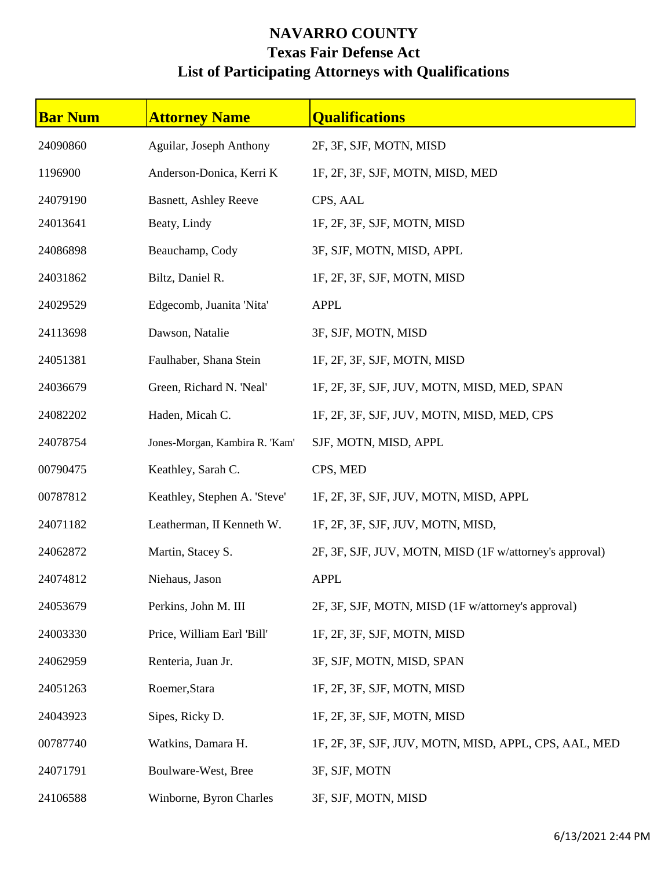## **NAVARRO COUNTY Texas Fair Defense Act List of Participating Attorneys with Qualifications**

| <b>Bar Num</b> | <b>Attorney Name</b>           | <b>Qualifications</b>                                   |
|----------------|--------------------------------|---------------------------------------------------------|
| 24090860       | Aguilar, Joseph Anthony        | 2F, 3F, SJF, MOTN, MISD                                 |
| 1196900        | Anderson-Donica, Kerri K       | 1F, 2F, 3F, SJF, MOTN, MISD, MED                        |
| 24079190       | <b>Basnett, Ashley Reeve</b>   | CPS, AAL                                                |
| 24013641       | Beaty, Lindy                   | 1F, 2F, 3F, SJF, MOTN, MISD                             |
| 24086898       | Beauchamp, Cody                | 3F, SJF, MOTN, MISD, APPL                               |
| 24031862       | Biltz, Daniel R.               | 1F, 2F, 3F, SJF, MOTN, MISD                             |
| 24029529       | Edgecomb, Juanita 'Nita'       | <b>APPL</b>                                             |
| 24113698       | Dawson, Natalie                | 3F, SJF, MOTN, MISD                                     |
| 24051381       | Faulhaber, Shana Stein         | 1F, 2F, 3F, SJF, MOTN, MISD                             |
| 24036679       | Green, Richard N. 'Neal'       | 1F, 2F, 3F, SJF, JUV, MOTN, MISD, MED, SPAN             |
| 24082202       | Haden, Micah C.                | 1F, 2F, 3F, SJF, JUV, MOTN, MISD, MED, CPS              |
| 24078754       | Jones-Morgan, Kambira R. 'Kam' | SJF, MOTN, MISD, APPL                                   |
| 00790475       | Keathley, Sarah C.             | CPS, MED                                                |
| 00787812       | Keathley, Stephen A. 'Steve'   | 1F, 2F, 3F, SJF, JUV, MOTN, MISD, APPL                  |
| 24071182       | Leatherman, II Kenneth W.      | 1F, 2F, 3F, SJF, JUV, MOTN, MISD,                       |
| 24062872       | Martin, Stacey S.              | 2F, 3F, SJF, JUV, MOTN, MISD (1F w/attorney's approval) |
| 24074812       | Niehaus, Jason                 | <b>APPL</b>                                             |
| 24053679       | Perkins, John M. III           | 2F, 3F, SJF, MOTN, MISD (1F w/attorney's approval)      |
| 24003330       | Price, William Earl 'Bill'     | 1F, 2F, 3F, SJF, MOTN, MISD                             |
| 24062959       | Renteria, Juan Jr.             | 3F, SJF, MOTN, MISD, SPAN                               |
| 24051263       | Roemer, Stara                  | 1F, 2F, 3F, SJF, MOTN, MISD                             |
| 24043923       | Sipes, Ricky D.                | 1F, 2F, 3F, SJF, MOTN, MISD                             |
| 00787740       | Watkins, Damara H.             | 1F, 2F, 3F, SJF, JUV, MOTN, MISD, APPL, CPS, AAL, MED   |
| 24071791       | Boulware-West, Bree            | 3F, SJF, MOTN                                           |
| 24106588       | Winborne, Byron Charles        | 3F, SJF, MOTN, MISD                                     |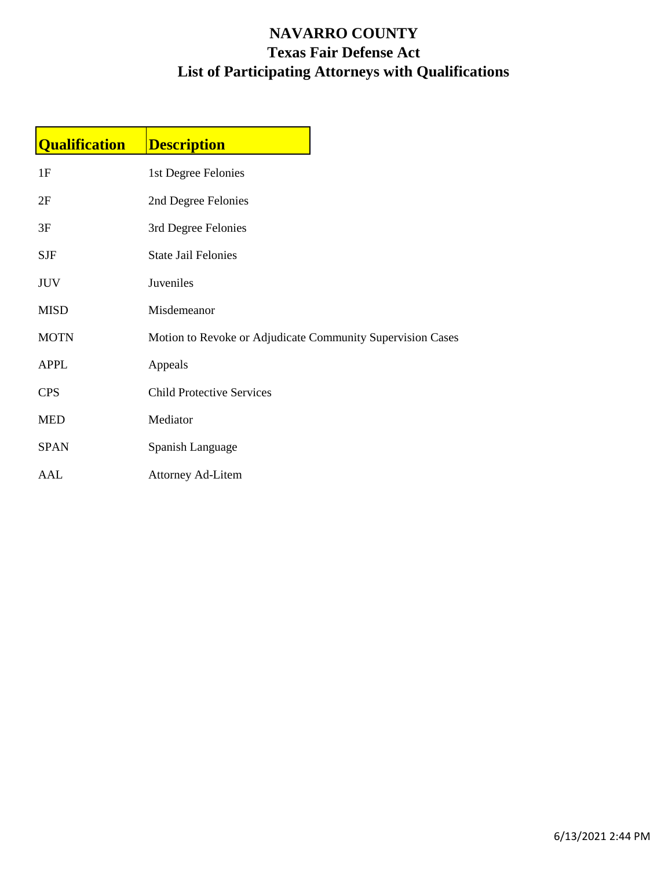## **NAVARRO COUNTY Texas Fair Defense Act List of Participating Attorneys with Qualifications**

| <b>Qualification</b> | <b>Description</b>                                         |  |
|----------------------|------------------------------------------------------------|--|
| 1F                   | 1st Degree Felonies                                        |  |
| 2F                   | 2nd Degree Felonies                                        |  |
| 3F                   | 3rd Degree Felonies                                        |  |
| <b>SJF</b>           | <b>State Jail Felonies</b>                                 |  |
| <b>JUV</b>           | Juveniles                                                  |  |
| <b>MISD</b>          | Misdemeanor                                                |  |
| <b>MOTN</b>          | Motion to Revoke or Adjudicate Community Supervision Cases |  |
| <b>APPL</b>          | Appeals                                                    |  |
| <b>CPS</b>           | <b>Child Protective Services</b>                           |  |
| <b>MED</b>           | Mediator                                                   |  |
| <b>SPAN</b>          | Spanish Language                                           |  |
| AAL                  | <b>Attorney Ad-Litem</b>                                   |  |